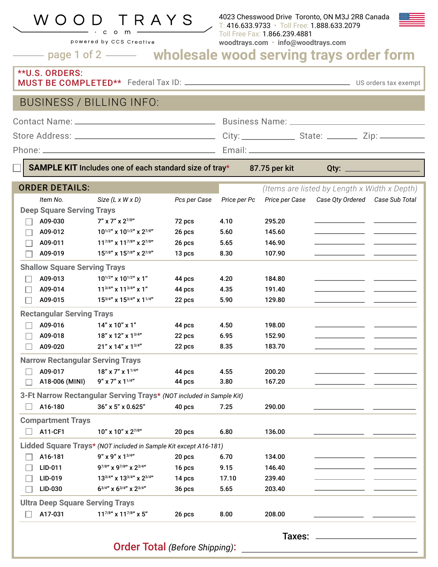### W O O R A Y S

powered by CCS Creative

4023 Chesswood Drive Toronto, ON M3J 2R8 Canada T: 416.633.9733 • Toll Free: 1.888.633.2079 Toll Free Fax: 1.866.239.4881 **woodtrays.com** • **info@woodtrays.com**

page 1 of 2 **wholesale wood serving trays order form**

#### \*\*U.S. ORDERS: MUST BE COMPLETED\*\* Federal Tax ID: US orders tax exempt

### BUSINESS / BILLING INFO:

|                                  | Business Name: ___________                                    |
|----------------------------------|---------------------------------------------------------------|
| Store Address: _________________ | City: ______________________ State: _____________ Zip: ______ |
| Phone: _                         | Email <sup>.</sup>                                            |
|                                  |                                                               |

**SAMPLE KIT** Includes one of each standard size of tray\* 87.75 per kit Qty:

ORDER DETAILS:*(Items are listed by Length x Width x Depth) Item No. Size (L x W x D) Pcs per Case Price per Pc Price per Case Case Qty Ordered Case Sub Total*  **Deep Square Serving Trays** A09-030  $7'' \times 7'' \times 2^{7/8''}$  72 pcs 4.10 295.20 П A09-012 10<sup>1/2"</sup> x 10<sup>1/2"</sup> x 2<sup>7/8"</sup> 26 pcs 5.60 145.60 A09-011  $11^{7/8}$  x  $11^{7/8}$  x  $2^{7/8}$   $26$  pcs  $5.65$  146.90 A09-019 15<sup>7/8"</sup> x 15<sup>7/8"</sup> x 2<sup>7/8"</sup> 13 pcs 8.30 107.90 **Shallow Square Serving Trays** A09-013  $10^{1/2^n}$  x  $10^{1/2^n}$  x  $1^n$  44 pcs 4.20 184.80 П A09-014 11<sup>3/4"</sup> x 11<sup>3/4"</sup> x 1<sup>"</sup> 44 pcs 4.35 191.40  $\Box$ A09-015 15<sup>3/4"</sup> x 15<sup>3/4"</sup> x 1<sup>1/4"</sup> 22 pcs 5.90 129.80 П **Rectangular Serving Trays**  $\Box$ A09-016 14" x 10" x 1" 44 pcs 4.50 198.00 A09-018 18" x 12" x 1<sup>3/4"</sup> 22 pcs 6.95 152.90  $\Box$ A09-020 21" x 14" x 1<sup>3/4"</sup> 22 pcs 8.35 183.70  $\Box$ **Narrow Rectangular Serving Trays** A09-017 18" x 7" x 1<sup>1/4"</sup> 44 pcs 4.55 200.20 П A18-006 (MINI) 9" x 7" x 1<sup>1/4"</sup> 44 pcs 3.80 167.20 П **3-Ft Narrow Rectangular Serving Trays\*** *(NOT included in Sample Kit)*

 $\Box$  A16-180 36" x 5" x 0.625" 40 pcs 7.25 290.00 **Compartment Trays**  $\Box$  A11-CF1 10" x 10" x 2<sup>7/8"</sup> 20 pcs 6.80 136.00 **Lidded Square Trays\*** *(NOT included in Sample Kit except A16-181)* A16-181 9" x 9" x 1<sup>3/4"</sup> 20 pcs 6.70 134.00 П LID-011 9<sup>7/8"</sup> x 9<sup>7/8"</sup> x 2<sup>3/4"</sup> 16 pcs 9.15 146.40  $\Box$ LID-019 13<sup>3/4"</sup> x 13<sup>3/4"</sup> x 2<sup>3/4"</sup> 14 pcs 17.10 239.40  $\vert \ \ \vert$ LID-030  $6^{3/4}$  x  $6^{3/4}$  x  $2^{3/4}$   $36$  pcs  $5.65$  203.40  $\vert \ \ \vert$ **Ultra Deep Square Serving Trays**  $\Box$ A17-031 11<sup>7/8"</sup> x 11<sup>7/8"</sup> x 5" 26 pcs 8.00 208.00

Order Total *(Before Shipping)*:

Taxes: